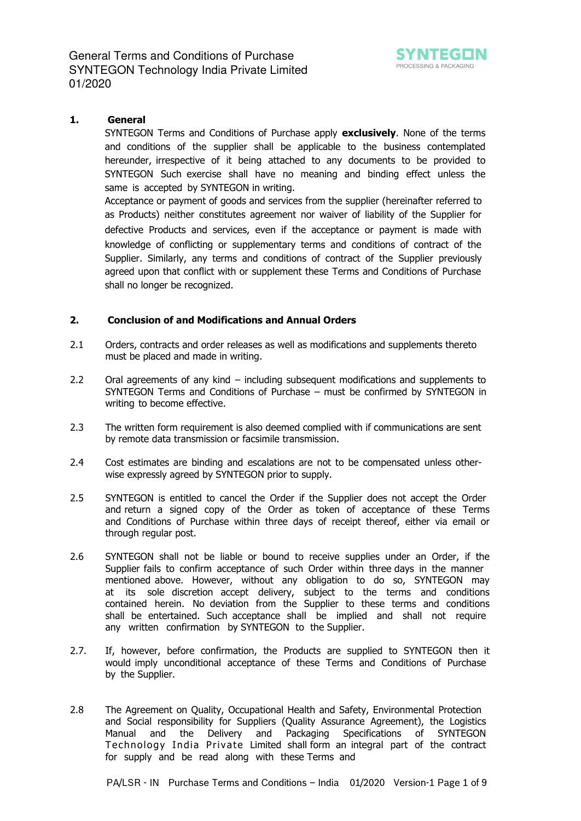

# **1. General**

SYNTEGON Terms and Conditions of Purchase apply **exclusively**. None of the terms and conditions of the supplier shall be applicable to the business contemplated hereunder, irrespective of it being attached to any documents to be provided to SYNTEGON Such exercise shall have no meaning and binding effect unless the same is accepted by SYNTEGON in writing.

Acceptance or payment of goods and services from the supplier (hereinafter referred to as Products) neither constitutes agreement nor waiver of liability of the Supplier for defective Products and services, even if the acceptance or payment is made with knowledge of conflicting or supplementary terms and conditions of contract of the Supplier. Similarly, any terms and conditions of contract of the Supplier previously agreed upon that conflict with or supplement these Terms and Conditions of Purchase shall no longer be recognized.

# **2. Conclusion of and Modifications and Annual Orders**

- 2.1 Orders, contracts and order releases as well as modifications and supplements thereto must be placed and made in writing.
- 2.2 Oral agreements of any kind – including subsequent modifications and supplements to SYNTEGON Terms and Conditions of Purchase – must be confirmed by SYNTEGON in writing to become effective.
- 2.3 The written form requirement is also deemed complied with if communications are sent by remote data transmission or facsimile transmission.
- 2.4 Cost estimates are binding and escalations are not to be compensated unless otherwise expressly agreed by SYNTEGON prior to supply.
- 2.5 SYNTEGON is entitled to cancel the Order if the Supplier does not accept the Order and return a signed copy of the Order as token of acceptance of these Terms and Conditions of Purchase within three days of receipt thereof, either via email or through regular post.
- 2.6 SYNTEGON shall not be liable or bound to receive supplies under an Order, if the Supplier fails to confirm acceptance of such Order within three days in the manner mentioned above. However, without any obligation to do so, SYNTEGON may at its sole discretion accept delivery, subject to the terms and conditions contained herein. No deviation from the Supplier to these terms and conditions shall be entertained. Such acceptance shall be implied and shall not require any written confirmation by SYNTEGON to the Supplier.
- 2.7. If, however, before confirmation, the Products are supplied to SYNTEGON then it would imply unconditional acceptance of these Terms and Conditions of Purchase by the Supplier.
- 2.8 The Agreement on Quality, Occupational Health and Safety, Environmental Protection and Social responsibility for Suppliers (Quality Assurance Agreement), the Logistics Manual and the Delivery and Packaging Specifications of SYNTEGON Technology India Private Limited shall form an integral part of the contract for supply and be read along with these Terms and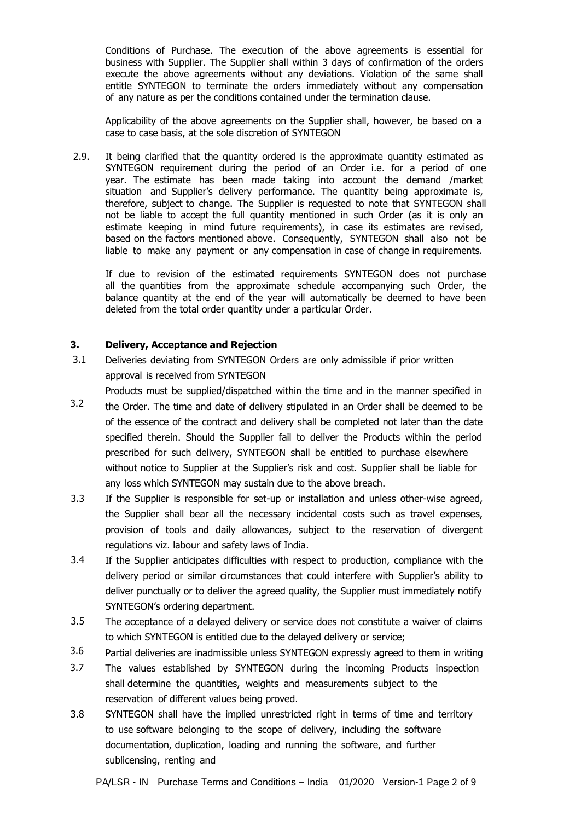Conditions of Purchase. The execution of the above agreements is essential for business with Supplier. The Supplier shall within 3 days of confirmation of the orders execute the above agreements without any deviations. Violation of the same shall entitle SYNTEGON to terminate the orders immediately without any compensation of any nature as per the conditions contained under the termination clause.

Applicability of the above agreements on the Supplier shall, however, be based on a case to case basis, at the sole discretion of SYNTEGON

 2.9. It being clarified that the quantity ordered is the approximate quantity estimated as SYNTEGON requirement during the period of an Order i.e. for a period of one year. The estimate has been made taking into account the demand /market situation and Supplier's delivery performance. The quantity being approximate is, therefore, subject to change. The Supplier is requested to note that SYNTEGON shall not be liable to accept the full quantity mentioned in such Order (as it is only an estimate keeping in mind future requirements), in case its estimates are revised, based on the factors mentioned above. Consequently, SYNTEGON shall also not be liable to make any payment or any compensation in case of change in requirements.

If due to revision of the estimated requirements SYNTEGON does not purchase all the quantities from the approximate schedule accompanying such Order, the balance quantity at the end of the year will automatically be deemed to have been deleted from the total order quantity under a particular Order.

#### **3. Delivery, Acceptance and Rejection**

- 3.1 Deliveries deviating from SYNTEGON Orders are only admissible if prior written approval is received from SYNTEGON
- 3.2 Products must be supplied/dispatched within the time and in the manner specified in the Order. The time and date of delivery stipulated in an Order shall be deemed to be of the essence of the contract and delivery shall be completed not later than the date specified therein. Should the Supplier fail to deliver the Products within the period prescribed for such delivery, SYNTEGON shall be entitled to purchase elsewhere without notice to Supplier at the Supplier's risk and cost. Supplier shall be liable for any loss which SYNTEGON may sustain due to the above breach.
- 3.3 If the Supplier is responsible for set-up or installation and unless other-wise agreed, the Supplier shall bear all the necessary incidental costs such as travel expenses, provision of tools and daily allowances, subject to the reservation of divergent regulations viz. labour and safety laws of India.
- 3.4 If the Supplier anticipates difficulties with respect to production, compliance with the delivery period or similar circumstances that could interfere with Supplier's ability to deliver punctually or to deliver the agreed quality, the Supplier must immediately notify SYNTEGON's ordering department.
- 3.5 The acceptance of a delayed delivery or service does not constitute a waiver of claims to which SYNTEGON is entitled due to the delayed delivery or service;
- 3.6 Partial deliveries are inadmissible unless SYNTEGON expressly agreed to them in writing
- 3.7 The values established by SYNTEGON during the incoming Products inspection shall determine the quantities, weights and measurements subject to the reservation of different values being proved.
- 3.8 SYNTEGON shall have the implied unrestricted right in terms of time and territory to use software belonging to the scope of delivery, including the software documentation, duplication, loading and running the software, and further sublicensing, renting and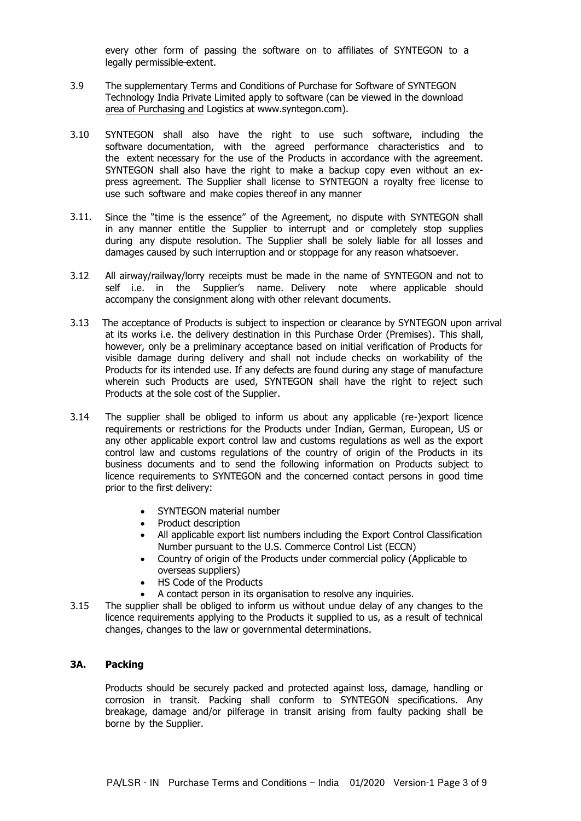every other form of passing the software on to affiliates of SYNTEGON to a legally permissible extent.

- 3.9 The supplementary Terms and Conditions of Purchase for Software of SYNTEGON Technology India Private Limited apply to software (can be viewed in the download [area of Purchasing and L](http://www.boschindia.com/)ogistics at www.syntegon.com).
- 3.10 SYNTEGON shall also have the right to use such software, including the software documentation, with the agreed performance characteristics and to the extent necessary for the use of the Products in accordance with the agreement. SYNTEGON shall also have the right to make a backup copy even without an express agreement. The Supplier shall license to SYNTEGON a royalty free license to use such software and make copies thereof in any manner
- 3.11. Since the "time is the essence" of the Agreement, no dispute with SYNTEGON shall in any manner entitle the Supplier to interrupt and or completely stop supplies during any dispute resolution. The Supplier shall be solely liable for all losses and damages caused by such interruption and or stoppage for any reason whatsoever.
- 3.12 All airway/railway/lorry receipts must be made in the name of SYNTEGON and not to self i.e. in the Supplier's name. Delivery note where applicable should accompany the consignment along with other relevant documents.
- 3.13 The acceptance of Products is subject to inspection or clearance by SYNTEGON upon arrival at its works i.e. the delivery destination in this Purchase Order (Premises). This shall, however, only be a preliminary acceptance based on initial verification of Products for visible damage during delivery and shall not include checks on workability of the Products for its intended use. If any defects are found during any stage of manufacture wherein such Products are used, SYNTEGON shall have the right to reject such Products at the sole cost of the Supplier.
- 3.14 The supplier shall be obliged to inform us about any applicable (re-)export licence requirements or restrictions for the Products under Indian, German, European, US or any other applicable export control law and customs regulations as well as the export control law and customs regulations of the country of origin of the Products in its business documents and to send the following information on Products subject to licence requirements to SYNTEGON and the concerned contact persons in good time prior to the first delivery:
	- SYNTEGON material number
	- Product description
	- All applicable export list numbers including the Export Control Classification Number pursuant to the U.S. Commerce Control List (ECCN)
	- Country of origin of the Products under commercial policy (Applicable to overseas suppliers)
	- HS Code of the Products
	- A contact person in its organisation to resolve any inquiries.
- 3.15 The supplier shall be obliged to inform us without undue delay of any changes to the licence requirements applying to the Products it supplied to us, as a result of technical changes, changes to the law or governmental determinations.

#### **3A. Packing**

Products should be securely packed and protected against loss, damage, handling or corrosion in transit. Packing shall conform to SYNTEGON specifications. Any breakage, damage and/or pilferage in transit arising from faulty packing shall be borne by the Supplier.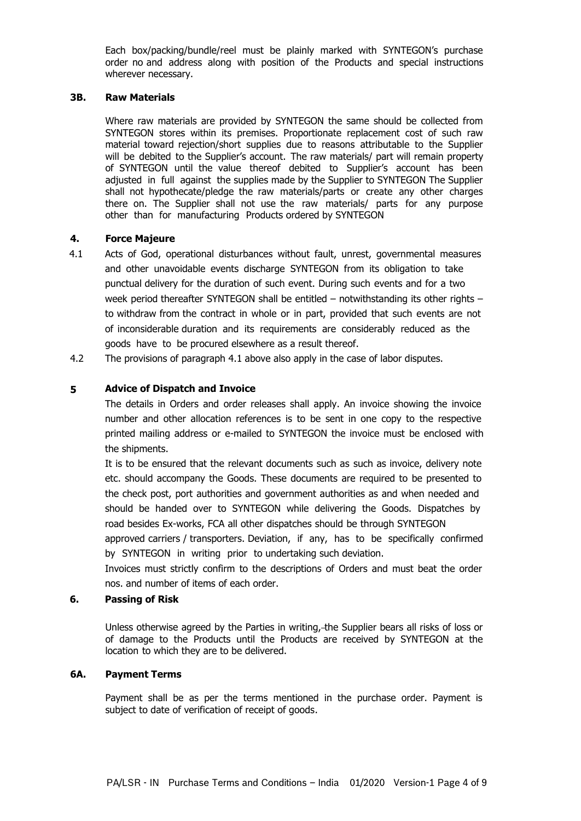Each box/packing/bundle/reel must be plainly marked with SYNTEGON's purchase order no and address along with position of the Products and special instructions wherever necessary.

#### **3B. Raw Materials**

Where raw materials are provided by SYNTEGON the same should be collected from SYNTEGON stores within its premises. Proportionate replacement cost of such raw material toward rejection/short supplies due to reasons attributable to the Supplier will be debited to the Supplier's account. The raw materials/ part will remain property of SYNTEGON until the value thereof debited to Supplier's account has been adjusted in full against the supplies made by the Supplier to SYNTEGON The Supplier shall not hypothecate/pledge the raw materials/parts or create any other charges there on. The Supplier shall not use the raw materials/ parts for any purpose other than for manufacturing Products ordered by SYNTEGON

#### **4. Force Majeure**

- 4.1 Acts of God, operational disturbances without fault, unrest, governmental measures and other unavoidable events discharge SYNTEGON from its obligation to take punctual delivery for the duration of such event. During such events and for a two week period thereafter SYNTEGON shall be entitled – notwithstanding its other rights – to withdraw from the contract in whole or in part, provided that such events are not of inconsiderable duration and its requirements are considerably reduced as the goods have to be procured elsewhere as a result thereof.
- 4.2 The provisions of paragraph 4.1 above also apply in the case of labor disputes.

#### **5 Advice of Dispatch and Invoice**

The details in Orders and order releases shall apply. An invoice showing the invoice number and other allocation references is to be sent in one copy to the respective printed mailing address or e-mailed to SYNTEGON the invoice must be enclosed with the shipments.

It is to be ensured that the relevant documents such as such as invoice, delivery note etc. should accompany the Goods. These documents are required to be presented to the check post, port authorities and government authorities as and when needed and should be handed over to SYNTEGON while delivering the Goods. Dispatches by road besides Ex-works, FCA all other dispatches should be through SYNTEGON

approved carriers / transporters. Deviation, if any, has to be specifically confirmed by SYNTEGON in writing prior to undertaking such deviation.

Invoices must strictly confirm to the descriptions of Orders and must beat the order nos. and number of items of each order.

### **6. Passing of Risk**

Unless otherwise agreed by the Parties in writing, the Supplier bears all risks of loss or of damage to the Products until the Products are received by SYNTEGON at the location to which they are to be delivered.

#### **6A. Payment Terms**

Payment shall be as per the terms mentioned in the purchase order. Payment is subject to date of verification of receipt of goods.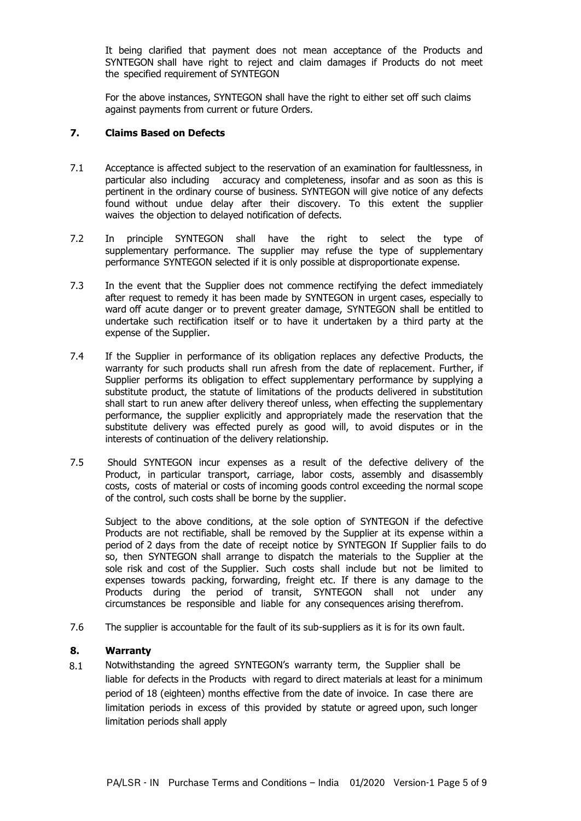It being clarified that payment does not mean acceptance of the Products and SYNTEGON shall have right to reject and claim damages if Products do not meet the specified requirement of SYNTEGON

For the above instances, SYNTEGON shall have the right to either set off such claims against payments from current or future Orders.

### **7. Claims Based on Defects**

- 7.1 Acceptance is affected subject to the reservation of an examination for faultlessness, in particular also including accuracy and completeness, insofar and as soon as this is pertinent in the ordinary course of business. SYNTEGON will give notice of any defects found without undue delay after their discovery. To this extent the supplier waives the objection to delayed notification of defects.
- 7.2 In principle SYNTEGON shall have the right to select the type of supplementary performance. The supplier may refuse the type of supplementary performance SYNTEGON selected if it is only possible at disproportionate expense.
- 7.3 In the event that the Supplier does not commence rectifying the defect immediately after request to remedy it has been made by SYNTEGON in urgent cases, especially to ward off acute danger or to prevent greater damage, SYNTEGON shall be entitled to undertake such rectification itself or to have it undertaken by a third party at the expense of the Supplier.
- 7.4 If the Supplier in performance of its obligation replaces any defective Products, the warranty for such products shall run afresh from the date of replacement. Further, if Supplier performs its obligation to effect supplementary performance by supplying a substitute product, the statute of limitations of the products delivered in substitution shall start to run anew after delivery thereof unless, when effecting the supplementary performance, the supplier explicitly and appropriately made the reservation that the substitute delivery was effected purely as good will, to avoid disputes or in the interests of continuation of the delivery relationship.
- 7.5 Should SYNTEGON incur expenses as a result of the defective delivery of the Product, in particular transport, carriage, labor costs, assembly and disassembly costs, costs of material or costs of incoming goods control exceeding the normal scope of the control, such costs shall be borne by the supplier.

Subject to the above conditions, at the sole option of SYNTEGON if the defective Products are not rectifiable, shall be removed by the Supplier at its expense within a period of 2 days from the date of receipt notice by SYNTEGON If Supplier fails to do so, then SYNTEGON shall arrange to dispatch the materials to the Supplier at the sole risk and cost of the Supplier. Such costs shall include but not be limited to expenses towards packing, forwarding, freight etc. If there is any damage to the Products during the period of transit, SYNTEGON shall not under any circumstances be responsible and liable for any consequences arising therefrom.

7.6 The supplier is accountable for the fault of its sub-suppliers as it is for its own fault.

#### **8. Warranty**

8.1 Notwithstanding the agreed SYNTEGON's warranty term, the Supplier shall be liable for defects in the Products with regard to direct materials at least for a minimum period of 18 (eighteen) months effective from the date of invoice. In case there are limitation periods in excess of this provided by statute or agreed upon, such longer limitation periods shall apply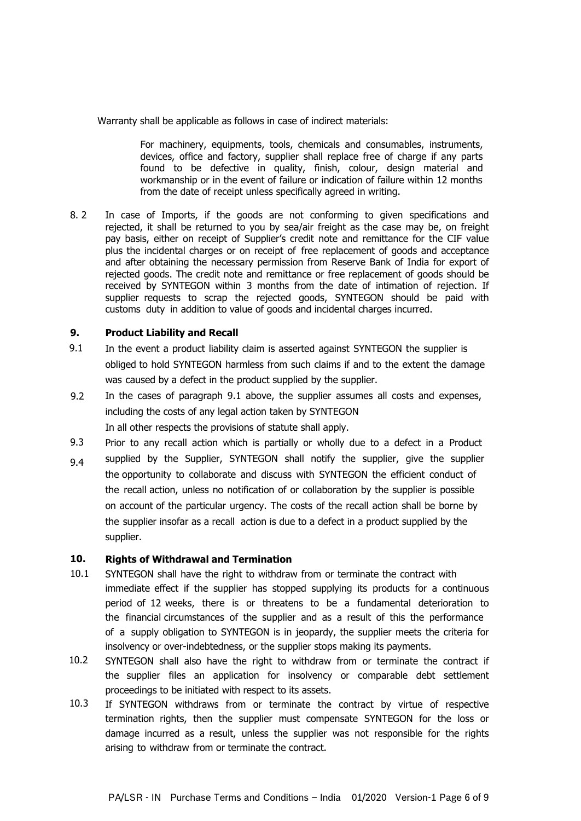Warranty shall be applicable as follows in case of indirect materials:

For machinery, equipments, tools, chemicals and consumables, instruments, devices, office and factory, supplier shall replace free of charge if any parts found to be defective in quality, finish, colour, design material and workmanship or in the event of failure or indication of failure within 12 months from the date of receipt unless specifically agreed in writing.

8. 2 In case of Imports, if the goods are not conforming to given specifications and rejected, it shall be returned to you by sea/air freight as the case may be, on freight pay basis, either on receipt of Supplier's credit note and remittance for the CIF value plus the incidental charges or on receipt of free replacement of goods and acceptance and after obtaining the necessary permission from Reserve Bank of India for export of rejected goods. The credit note and remittance or free replacement of goods should be received by SYNTEGON within 3 months from the date of intimation of rejection. If supplier requests to scrap the rejected goods, SYNTEGON should be paid with customs duty in addition to value of goods and incidental charges incurred.

#### **9. Product Liability and Recall**

- 9.1 In the event a product liability claim is asserted against SYNTEGON the supplier is obliged to hold SYNTEGON harmless from such claims if and to the extent the damage was caused by a defect in the product supplied by the supplier.
- 9.2 In the cases of paragraph 9.1 above, the supplier assumes all costs and expenses, including the costs of any legal action taken by SYNTEGON In all other respects the provisions of statute shall apply.
- 9.3 Prior to any recall action which is partially or wholly due to a defect in a Product
- 9.4 supplied by the Supplier, SYNTEGON shall notify the supplier, give the supplier the opportunity to collaborate and discuss with SYNTEGON the efficient conduct of the recall action, unless no notification of or collaboration by the supplier is possible on account of the particular urgency. The costs of the recall action shall be borne by the supplier insofar as a recall action is due to a defect in a product supplied by the supplier.

#### **10. Rights of Withdrawal and Termination**

- 10.1 SYNTEGON shall have the right to withdraw from or terminate the contract with immediate effect if the supplier has stopped supplying its products for a continuous period of 12 weeks, there is or threatens to be a fundamental deterioration to the financial circumstances of the supplier and as a result of this the performance of a supply obligation to SYNTEGON is in jeopardy, the supplier meets the criteria for insolvency or over-indebtedness, or the supplier stops making its payments.
- 10.2 SYNTEGON shall also have the right to withdraw from or terminate the contract if the supplier files an application for insolvency or comparable debt settlement proceedings to be initiated with respect to its assets.
- 10.3 If SYNTEGON withdraws from or terminate the contract by virtue of respective termination rights, then the supplier must compensate SYNTEGON for the loss or damage incurred as a result, unless the supplier was not responsible for the rights arising to withdraw from or terminate the contract.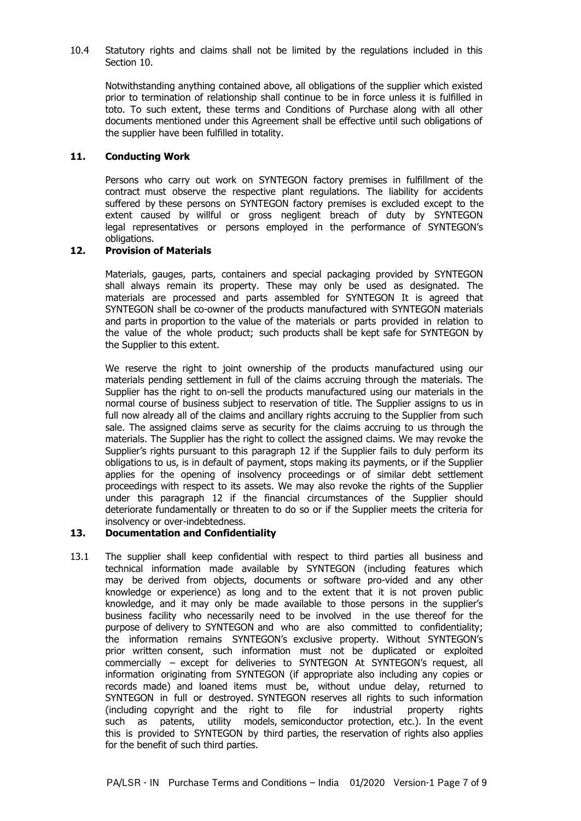### 10.4 Statutory rights and claims shall not be limited by the regulations included in this Section 10.

Notwithstanding anything contained above, all obligations of the supplier which existed prior to termination of relationship shall continue to be in force unless it is fulfilled in toto. To such extent, these terms and Conditions of Purchase along with all other documents mentioned under this Agreement shall be effective until such obligations of the supplier have been fulfilled in totality.

### **11. Conducting Work**

Persons who carry out work on SYNTEGON factory premises in fulfillment of the contract must observe the respective plant regulations. The liability for accidents suffered by these persons on SYNTEGON factory premises is excluded except to the extent caused by willful or gross negligent breach of duty by SYNTEGON legal representatives or persons employed in the performance of SYNTEGON's obligations.

### **12. Provision of Materials**

Materials, gauges, parts, containers and special packaging provided by SYNTEGON shall always remain its property. These may only be used as designated. The materials are processed and parts assembled for SYNTEGON It is agreed that SYNTEGON shall be co-owner of the products manufactured with SYNTEGON materials and parts in proportion to the value of the materials or parts provided in relation to the value of the whole product; such products shall be kept safe for SYNTEGON by the Supplier to this extent.

We reserve the right to joint ownership of the products manufactured using our materials pending settlement in full of the claims accruing through the materials. The Supplier has the right to on-sell the products manufactured using our materials in the normal course of business subject to reservation of title. The Supplier assigns to us in full now already all of the claims and ancillary rights accruing to the Supplier from such sale. The assigned claims serve as security for the claims accruing to us through the materials. The Supplier has the right to collect the assigned claims. We may revoke the Supplier's rights pursuant to this paragraph 12 if the Supplier fails to duly perform its obligations to us, is in default of payment, stops making its payments, or if the Supplier applies for the opening of insolvency proceedings or of similar debt settlement proceedings with respect to its assets. We may also revoke the rights of the Supplier under this paragraph 12 if the financial circumstances of the Supplier should deteriorate fundamentally or threaten to do so or if the Supplier meets the criteria for insolvency or over-indebtedness.

### **13. Documentation and Confidentiality**

13.1 The supplier shall keep confidential with respect to third parties all business and technical information made available by SYNTEGON (including features which may be derived from objects, documents or software pro-vided and any other knowledge or experience) as long and to the extent that it is not proven public knowledge, and it may only be made available to those persons in the supplier's business facility who necessarily need to be involved in the use thereof for the purpose of delivery to SYNTEGON and who are also committed to confidentiality; the information remains SYNTEGON's exclusive property. Without SYNTEGON's prior written consent, such information must not be duplicated or exploited commercially – except for deliveries to SYNTEGON At SYNTEGON's request, all information originating from SYNTEGON (if appropriate also including any copies or records made) and loaned items must be, without undue delay, returned to SYNTEGON in full or destroyed. SYNTEGON reserves all rights to such information (including copyright and the right to file for industrial property rights such as patents, utility models, semiconductor protection, etc.). In the event this is provided to SYNTEGON by third parties, the reservation of rights also applies for the benefit of such third parties.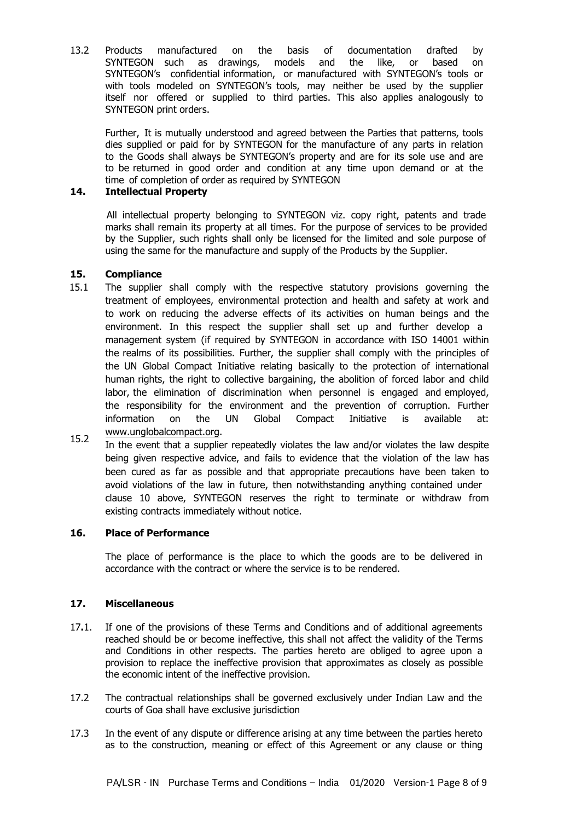13.2 Products manufactured on the basis of documentation drafted by SYNTEGON such as drawings, models and the like, or based on SYNTEGON's confidential information, or manufactured with SYNTEGON's tools or with tools modeled on SYNTEGON's tools, may neither be used by the supplier itself nor offered or supplied to third parties. This also applies analogously to SYNTEGON print orders.

Further, It is mutually understood and agreed between the Parties that patterns, tools dies supplied or paid for by SYNTEGON for the manufacture of any parts in relation to the Goods shall always be SYNTEGON's property and are for its sole use and are to be returned in good order and condition at any time upon demand or at the time of completion of order as required by SYNTEGON

# **14. Intellectual Property**

All intellectual property belonging to SYNTEGON viz. copy right, patents and trade marks shall remain its property at all times. For the purpose of services to be provided by the Supplier, such rights shall only be licensed for the limited and sole purpose of using the same for the manufacture and supply of the Products by the Supplier.

#### **15. Compliance**

- 15.1 The supplier shall comply with the respective statutory provisions governing the treatment of employees, environmental protection and health and safety at work and to work on reducing the adverse effects of its activities on human beings and the environment. In this respect the supplier shall set up and further develop a management system (if required by SYNTEGON in accordance with ISO 14001 within the realms of its possibilities. Further, the supplier shall comply with the principles of the UN Global Compact Initiative relating basically to the protection of international human rights, the right to collective bargaining, the abolition of forced labor and child labor, the elimination of discrimination when personnel is engaged and employed, the responsibility for the environment and the prevention of corruption. Further information on the UN Global Compact Initiative is available at: www.unglobalcompact.org.
- 15.2 In the event that a supplier repeatedly violates the law and/or violates the law despite being given respective advice, and fails to evidence that the violation of the law has been cured as far as possible and that appropriate precautions have been taken to avoid violations of the law in future, then notwithstanding anything contained under clause 10 above, SYNTEGON reserves the right to terminate or withdraw from existing contracts immediately without notice.

### **16. Place of Performance**

The place of performance is the place to which the goods are to be delivered in accordance with the contract or where the service is to be rendered.

### **17. Miscellaneous**

- 17**.**1. If one of the provisions of these Terms and Conditions and of additional agreements reached should be or become ineffective, this shall not affect the validity of the Terms and Conditions in other respects. The parties hereto are obliged to agree upon a provision to replace the ineffective provision that approximates as closely as possible the economic intent of the ineffective provision.
- 17.2 The contractual relationships shall be governed exclusively under Indian Law and the courts of Goa shall have exclusive jurisdiction
- 17.3 In the event of any dispute or difference arising at any time between the parties hereto as to the construction, meaning or effect of this Agreement or any clause or thing